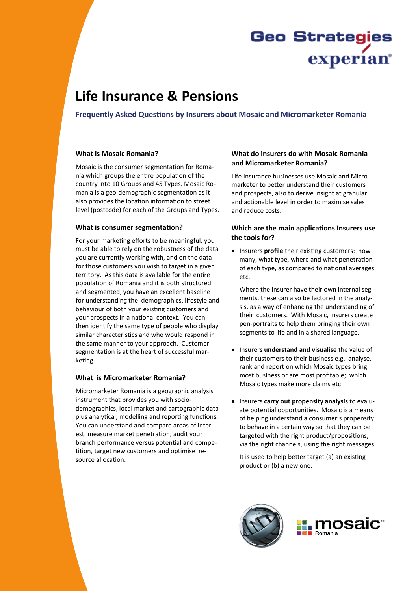# **Geo Strategies** experian

# **Life Insurance & Pensions**

**Frequently Asked QuesƟons by Insurers about Mosaic and Micromarketer Romania**

### **What is Mosaic Romania?**

Mosaic is the consumer segmentation for Romania which groups the entire population of the country into 10 Groups and 45 Types. Mosaic Romania is a geo-demographic segmentation as it also provides the location information to street level (postcode) for each of the Groups and Types.

### **What** is consumer segmentation?

For your marketing efforts to be meaningful, you must be able to rely on the robustness of the data you are currently working with, and on the data for those customers you wish to target in a given territory. As this data is available for the entire population of Romania and it is both structured and segmented, you have an excellent baseline for understanding the demographics, lifestyle and behaviour of both your existing customers and your prospects in a national context. You can then identify the same type of people who display similar characteristics and who would respond in the same manner to your approach. Customer segmentation is at the heart of successful marketing.

## **What is Micromarketer Romania?**

Micromarketer Romania is a geographic analysis instrument that provides you with sociodemographics, local market and cartographic data plus analytical, modelling and reporting functions. You can understand and compare areas of interest, measure market penetration, audit your branch performance versus potential and competition, target new customers and optimise resource allocation.

# **What do insurers do with Mosaic Romania and Micromarketer Romania?**

Life Insurance businesses use Mosaic and Micromarketer to better understand their customers and prospects, also to derive insight at granular and actionable level in order to maximise sales and reduce costs.

# **Which are the main applicaƟons Insurers use the tools for?**

• Insurers **profile** their existing customers: how many, what type, where and what penetration of each type, as compared to national averages etc.

Where the Insurer have their own internal segments, these can also be factored in the analysis, as a way of enhancing the understanding of their customers. With Mosaic, Insurers create pen-portraits to help them bringing their own segments to life and in a shared language.

- Insurers **understand and visualise** the value of their customers to their business e.g. analyse, rank and report on which Mosaic types bring most business or are most profitable; which Mosaic types make more claims etc
- Insurers **carry out propensity analysis** to evaluate potential opportunities. Mosaic is a means of helping understand a consumer's propensity to behave in a certain way so that they can be targeted with the right product/propositions, via the right channels, using the right messages.

It is used to help better target (a) an existing product or (b) a new one.